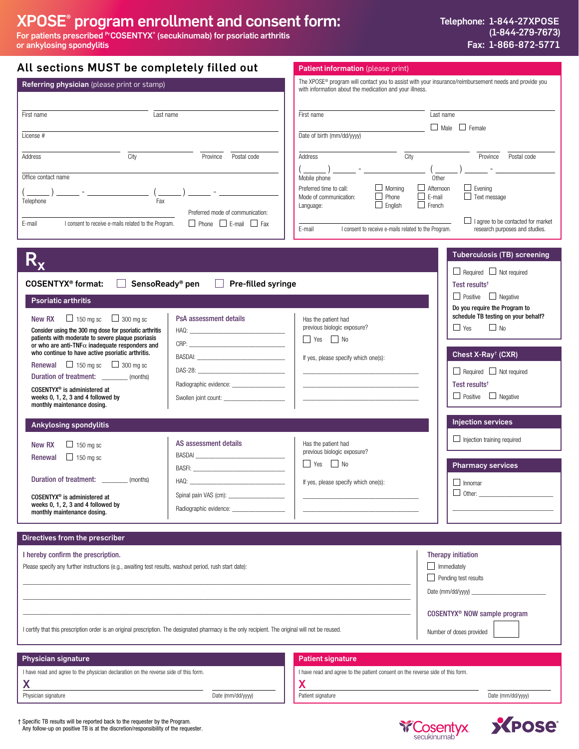# XPOSE® program enrollment and consent form:

For patients prescribed <sup>Pr</sup>COSENTYX<sup>®</sup> (secukinumab) for psoriatic arthritis or ankylosing spondylitis

| All sections MUST be completely filled out                                                                                                                                                                                                                                                                                                                                                                                                                                                                                                                                                                                                                                                                                                            | Patient information (please print)                                                                                                                                                                                                                                                                                                                                                                                                                                                                                                                                                                                                                                                                            |
|-------------------------------------------------------------------------------------------------------------------------------------------------------------------------------------------------------------------------------------------------------------------------------------------------------------------------------------------------------------------------------------------------------------------------------------------------------------------------------------------------------------------------------------------------------------------------------------------------------------------------------------------------------------------------------------------------------------------------------------------------------|---------------------------------------------------------------------------------------------------------------------------------------------------------------------------------------------------------------------------------------------------------------------------------------------------------------------------------------------------------------------------------------------------------------------------------------------------------------------------------------------------------------------------------------------------------------------------------------------------------------------------------------------------------------------------------------------------------------|
| Referring physician (please print or stamp)                                                                                                                                                                                                                                                                                                                                                                                                                                                                                                                                                                                                                                                                                                           | The XPOSE® program will contact you to assist with your insurance/reimbursement needs and provide you<br>with information about the medication and your illness.                                                                                                                                                                                                                                                                                                                                                                                                                                                                                                                                              |
| Last name<br>First name<br>License #                                                                                                                                                                                                                                                                                                                                                                                                                                                                                                                                                                                                                                                                                                                  | First name<br>$\overline{\text{Last name}}$<br>$\Box$ Male $\Box$ Female<br>Date of birth (mm/dd/yyyy)                                                                                                                                                                                                                                                                                                                                                                                                                                                                                                                                                                                                        |
| City<br>Province<br>Address<br>Postal code<br>Office contact name<br>Fax<br>Telephone<br>Preferred mode of communication:<br>$\Box$ Phone $\Box$ E-mail $\Box$ Fax<br>I consent to receive e-mails related to the Program.<br>E-mail                                                                                                                                                                                                                                                                                                                                                                                                                                                                                                                  | City<br>Address<br>Province Postal code<br>Mobile phone<br>Other<br>$\Box$ Afternoon<br>$\Box$ Evening<br>Preferred time to call:<br>$\Box$ Morning<br>$\Box$ Phone<br>$\Box$ E-mail<br>$\Box$ Text message<br>Mode of communication:<br>$\Box$ French<br>$\Box$ English<br>Language:<br>$\Box$ I agree to be contacted for market<br>I consent to receive e-mails related to the Program.<br>E-mail<br>research purposes and studies.<br><b>Tuberculosis (TB) screening</b>                                                                                                                                                                                                                                  |
| <b>COSENTYX<sup>®</sup> format:</b><br>SensoReady <sup>®</sup> pen<br>$\Box$ Pre-filled syringe<br><b>Psoriatic arthritis</b><br>$\Box$ 150 mg sc $\Box$ 300 mg sc<br>PsA assessment details<br>New RX<br>Consider using the 300 mg dose for psoriatic arthritis<br>patients with moderate to severe plaque psoriasis<br>or who are anti-TNF $\alpha$ inadequate responders and<br>who continue to have active psoriatic arthritis.<br><b>Renewal</b> $\Box$ 150 mg sc $\Box$ 300 mg sc<br>Duration of treatment: ________ (months)<br>Radiographic evidence: _____________________<br>COSENTYX <sup>®</sup> is administered at<br>weeks 0, 1, 2, 3 and 4 followed by<br>Swollen joint count: ________________________<br>monthly maintenance dosing. | $\Box$ Required $\Box$ Not required<br>Test results <sup>t</sup><br>$\Box$ Positive $\Box$ Negative<br>Do you require the Program to<br>schedule TB testing on your behalf?<br>Has the patient had<br>previous biologic exposure?<br>$\Box$ No<br>$\Box$ Yes<br>$\Box$ Yes $\Box$ No<br>Chest X-Ray <sup>†</sup> (CXR)<br>If yes, please specify which one(s):<br>$\Box$ Required $\Box$ Not required<br><u> The Common State of the Common State of the Common State of the Common State of the Common State of the Common State of the Common State of the Common State of the Common State of the Common State of the Common State of </u><br>Test results <sup>†</sup><br>$\Box$ Positive $\Box$ Negative |
| <b>Ankylosing spondylitis</b><br>AS assessment details<br>$\Box$ 150 mg sc<br>New RX<br>BASDAI<br>$\Box$ 150 mg sc<br>Renewal<br>BASFI: The contract of the contract of the contract of the contract of the contract of the contract of the contract of the contract of the contract of the contract of the contract of the contract of the contract of the con<br>Duration of treatment: (months)<br>HAQ:<br>Spinal pain VAS (cm): _____________________<br>COSENTYX <sup>®</sup> is administered at<br>weeks 0, 1, 2, 3 and 4 followed by<br>Radiographic evidence: _____________________<br>monthly maintenance dosing.                                                                                                                            | <b>Injection services</b><br>$\Box$ Injection training required<br>Has the patient had<br>previous biologic exposure?<br>$\Box$ Yes $\Box$ No<br><b>Pharmacy services</b><br>$\Box$ Innomar<br>If yes, please specify which one(s):<br>$\Box$ Other:                                                                                                                                                                                                                                                                                                                                                                                                                                                          |
| Directives from the prescriber<br>I hereby confirm the prescription.<br>Please specify any further instructions (e.g., awaiting test results, washout period, rush start date):<br>I certify that this prescription order is an original prescription. The designated pharmacy is the only recipient. The original will not be reused.                                                                                                                                                                                                                                                                                                                                                                                                                | <b>Therapy initiation</b><br>$\Box$ Immediately<br>Pending test results<br>COSENTYX <sup>®</sup> NOW sample program<br>Number of doses provided                                                                                                                                                                                                                                                                                                                                                                                                                                                                                                                                                               |
| <b>Physician signature</b><br>I have read and agree to the physician declaration on the reverse side of this form.<br>X                                                                                                                                                                                                                                                                                                                                                                                                                                                                                                                                                                                                                               | <b>Patient signature</b><br>I have read and agree to the patient consent on the reverse side of this form.<br>Х                                                                                                                                                                                                                                                                                                                                                                                                                                                                                                                                                                                               |

Physician signature examples the model of the Date (mm/dd/yyyy) Date (mm/dd/yyyy) Patient signature and the model of the Date (mm/dd/yyyy)

**S** *P*ose®



**Y Cosentyx**